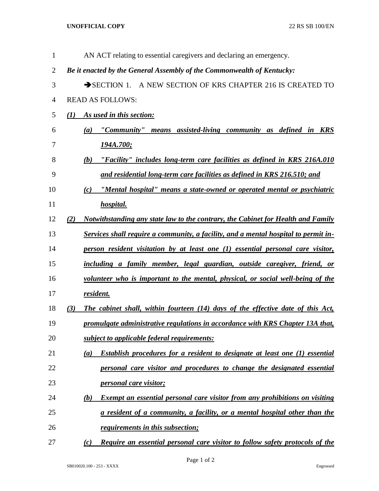## **UNOFFICIAL COPY** 22 RS SB 100/EN

| 1              | AN ACT relating to essential caregivers and declaring an emergency.                       |
|----------------|-------------------------------------------------------------------------------------------|
| $\overline{2}$ | Be it enacted by the General Assembly of the Commonwealth of Kentucky:                    |
| 3              | SECTION 1. A NEW SECTION OF KRS CHAPTER 216 IS CREATED TO                                 |
| 4              | <b>READ AS FOLLOWS:</b>                                                                   |
| 5              | As used in this section:<br>$\mathbf{U}$                                                  |
| 6              | "Community" means assisted-living community as defined in KRS<br>(a)                      |
| 7              | <u>194A.700;</u>                                                                          |
| 8              | "Facility" includes long-term care facilities as defined in KRS 216A.010<br>(b)           |
| 9              | and residential long-term care facilities as defined in KRS 216.510; and                  |
| 10             | "Mental hospital" means a state-owned or operated mental or psychiatric<br>(c)            |
| 11             | hospital.                                                                                 |
| 12             | Notwithstanding any state law to the contrary, the Cabinet for Health and Family<br>(2)   |
| 13             | Services shall require a community, a facility, and a mental hospital to permit in-       |
| 14             | person resident visitation by at least one (1) essential personal care visitor,           |
| 15             | including a family member, legal guardian, outside caregiver, friend, or                  |
| 16             | volunteer who is important to the mental, physical, or social well-being of the           |
| 17             | resident.                                                                                 |
| 18             | The cabinet shall, within fourteen (14) days of the effective date of this Act,<br>(3)    |
| 19             | promulgate administrative regulations in accordance with KRS Chapter 13A that,            |
| 20             | subject to applicable federal requirements:                                               |
| 21             | <b>Establish procedures for a resident to designate at least one (1) essential</b><br>(a) |
| 22             | personal care visitor and procedures to change the designated essential                   |
| 23             | <i><u><b>personal care visitor;</b></u></i>                                               |
| 24             | <b>Exempt an essential personal care visitor from any prohibitions on visiting</b><br>(b) |
| 25             | a resident of a community, a facility, or a mental hospital other than the                |
| 26             | <i><u>requirements in this subsection;</u></i>                                            |
| 27             | Require an essential personal care visitor to follow safety protocols of the<br>(c)       |